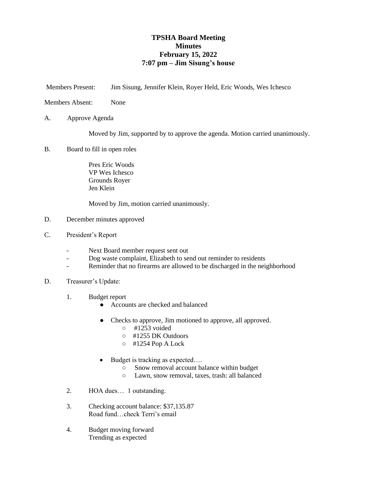## **TPSHA Board Meeting Minutes February 15, 2022 7:07 pm – Jim Sisung's house**

Members Present: Jim Sisung, Jennifer Klein, Royer Held, Eric Woods, Wes Ichesco

Members Absent: None

A. Approve Agenda

Moved by Jim, supported by to approve the agenda. Motion carried unanimously.

B. Board to fill in open roles

Pres Eric Woods VP Wes Ichesco Grounds Royer Jen Klein

Moved by Jim, motion carried unanimously.

- D. December minutes approved
- C. President's Report
	- Next Board member request sent out
	- Dog waste complaint, Elizabeth to send out reminder to residents
	- Reminder that no firearms are allowed to be discharged in the neighborhood
- D. Treasurer's Update:
	- 1. Budget report
		- Accounts are checked and balanced
		- Checks to approve, Jim motioned to approve, all approved.
			- #1253 voided
			- #1255 DK Outdoors
			- $\circ$  #1254 Pop A Lock
		- Budget is tracking as expected....
			- Snow removal account balance within budget
			- Lawn, snow removal, taxes, trash: all balanced
	- 2. HOA dues… 1 outstanding.
	- 3. Checking account balance: \$37,135.87 Road fund…check Terri's email
	- 4. Budget moving forward Trending as expected